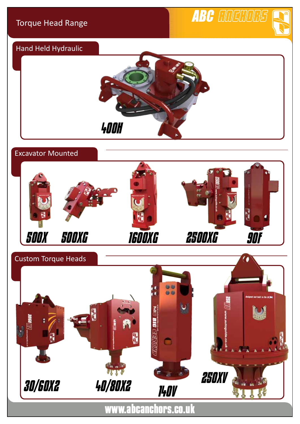ABC CIDEMORS

# Hand Held Hydraulic



## Excavator Mounted



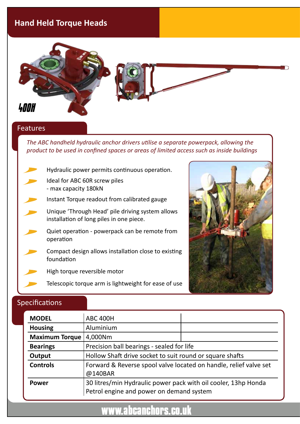# **Hand Held Torque Heads**



#### Features

*The ABC handheld hydraulic anchor drivers utilise a separate powerpack, allowing the product to be used in confined spaces or areas of limited access such as inside buildings*

- Hydraulic power permits continuous operation.
- Ideal for ABC 60R screw piles - max capacity 180kN
- Instant Torque readout from calibrated gauge
- Unique 'Through Head' pile driving system allows installation of long piles in one piece.
- Quiet operation powerpack can be remote from operation
- Compact design allows installation close to existing foundation
	- High torque reversible motor
		- Telescopic torque arm is lightweight for ease of use



#### Specifications

| <b>MODEL</b>          | <b>ABC 400H</b>                                                                                            |  |  |
|-----------------------|------------------------------------------------------------------------------------------------------------|--|--|
| <b>Housing</b>        | Aluminium                                                                                                  |  |  |
| <b>Maximum Torque</b> | 4,000Nm                                                                                                    |  |  |
| <b>Bearings</b>       | Precision ball bearings - sealed for life                                                                  |  |  |
| Output                | Hollow Shaft drive socket to suit round or square shafts                                                   |  |  |
| <b>Controls</b>       | Forward & Reverse spool valve located on handle, relief valve set<br>@140BAR                               |  |  |
| <b>Power</b>          | 30 litres/min Hydraulic power pack with oil cooler, 13hp Honda<br>Petrol engine and power on demand system |  |  |

# www.abcanchors.co.uk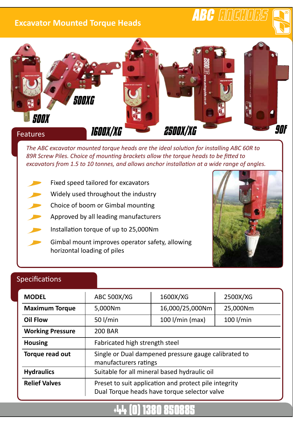### **Excavator Mounted Torque Heads**

# ABC COCOOCS





*The ABC excavator mounted torque heads are the ideal solution for installing ABC 60R to 89R Screw Piles. Choice of mounting brackets allow the torque heads to be fitted to excavators from 1.5 to 10 tonnes, and allows anchor installation at a wide range of angles.*

- Fixed speed tailored for excavators
- Widely used throughout the industry
- Choice of boom or Gimbal mounting
- Approved by all leading manufacturers
- Installation torque of up to 25,000Nm
- Gimbal mount improves operator safety, allowing horizontal loading of piles



### Specifications

| <b>MODEL</b>            | <b>ABC 500X/XG</b>                                                                                    | 1600X/XG          | 2500X/XG    |  |
|-------------------------|-------------------------------------------------------------------------------------------------------|-------------------|-------------|--|
| <b>Maximum Torque</b>   | 5,000Nm                                                                                               | 16,000/25,000Nm   | 25,000Nm    |  |
| <b>Oil Flow</b>         | 50 $1/min$                                                                                            | $100$ I/min (max) | $100$ l/min |  |
| <b>Working Pressure</b> | <b>200 BAR</b>                                                                                        |                   |             |  |
| <b>Housing</b>          | Fabricated high strength steel                                                                        |                   |             |  |
| Torque read out         | Single or Dual dampened pressure gauge calibrated to<br>manufacturers ratings                         |                   |             |  |
| <b>Hydraulics</b>       | Suitable for all mineral based hydraulic oil                                                          |                   |             |  |
| <b>Relief Valves</b>    | Preset to suit application and protect pile integrity<br>Dual Torque heads have torque selector valve |                   |             |  |

# +44 (0) 1380 850885